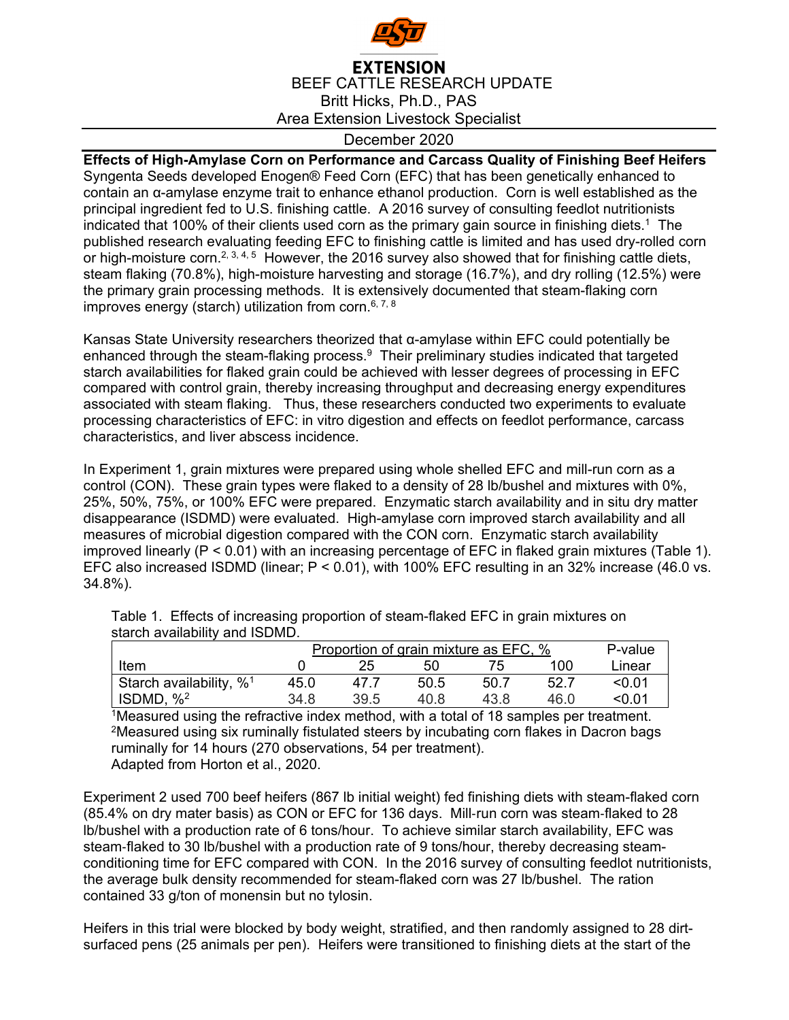

## December 2020

**Effects of High-Amylase Corn on Performance and Carcass Quality of Finishing Beef Heifers**  Syngenta Seeds developed Enogen® Feed Corn (EFC) that has been genetically enhanced to contain an α-amylase enzyme trait to enhance ethanol production. Corn is well established as the principal ingredient fed to U.S. finishing cattle. A 2016 survey of consulting feedlot nutritionists indicated that 100% of their clients used corn as the primary gain source in finishing diets.<sup>1</sup> The published research evaluating feeding EFC to finishing cattle is limited and has used dry-rolled corn or high-moisture corn.<sup>2, 3, 4, 5</sup> However, the 2016 survey also showed that for finishing cattle diets, steam flaking (70.8%), high-moisture harvesting and storage (16.7%), and dry rolling (12.5%) were the primary grain processing methods. It is extensively documented that steam-flaking corn improves energy (starch) utilization from corn.<sup>6, 7, 8</sup>

Kansas State University researchers theorized that α-amylase within EFC could potentially be enhanced through the steam-flaking process. $9$  Their preliminary studies indicated that targeted starch availabilities for flaked grain could be achieved with lesser degrees of processing in EFC compared with control grain, thereby increasing throughput and decreasing energy expenditures associated with steam flaking. Thus, these researchers conducted two experiments to evaluate processing characteristics of EFC: in vitro digestion and effects on feedlot performance, carcass characteristics, and liver abscess incidence.

In Experiment 1, grain mixtures were prepared using whole shelled EFC and mill-run corn as a control (CON). These grain types were flaked to a density of 28 lb/bushel and mixtures with 0%, 25%, 50%, 75%, or 100% EFC were prepared. Enzymatic starch availability and in situ dry matter disappearance (ISDMD) were evaluated. High-amylase corn improved starch availability and all measures of microbial digestion compared with the CON corn. Enzymatic starch availability improved linearly (P < 0.01) with an increasing percentage of EFC in flaked grain mixtures (Table 1). EFC also increased ISDMD (linear; P < 0.01), with 100% EFC resulting in an 32% increase (46.0 vs. 34.8%).

|                             | Proportion of grain mixture as EFC, % | P-value |      |       |      |        |
|-----------------------------|---------------------------------------|---------|------|-------|------|--------|
| Item                        |                                       | 25.     | 50   |       | 100  | Linear |
| Starch availability, $\%^1$ | 45.0                                  | 47 7    | 50.5 | -50.7 | 52.7 | <∩ ∩1  |
| ISDMD, $\frac{962}{2}$      | 34.8                                  | 39.5    | 40 8 | 43 8  | 46 በ | <∩ ∩1  |

Table 1. Effects of increasing proportion of steam-flaked EFC in grain mixtures on starch availability and ISDMD.

<sup>1</sup>Measured using the refractive index method, with a total of 18 samples per treatment. 2Measured using six ruminally fistulated steers by incubating corn flakes in Dacron bags ruminally for 14 hours (270 observations, 54 per treatment). Adapted from Horton et al., 2020.

Experiment 2 used 700 beef heifers (867 lb initial weight) fed finishing diets with steam-flaked corn (85.4% on dry mater basis) as CON or EFC for 136 days. Mill-run corn was steam-flaked to 28 lb/bushel with a production rate of 6 tons/hour. To achieve similar starch availability, EFC was steam-flaked to 30 lb/bushel with a production rate of 9 tons/hour, thereby decreasing steamconditioning time for EFC compared with CON. In the 2016 survey of consulting feedlot nutritionists, the average bulk density recommended for steam-flaked corn was 27 lb/bushel. The ration contained 33 g/ton of monensin but no tylosin.

Heifers in this trial were blocked by body weight, stratified, and then randomly assigned to 28 dirtsurfaced pens (25 animals per pen). Heifers were transitioned to finishing diets at the start of the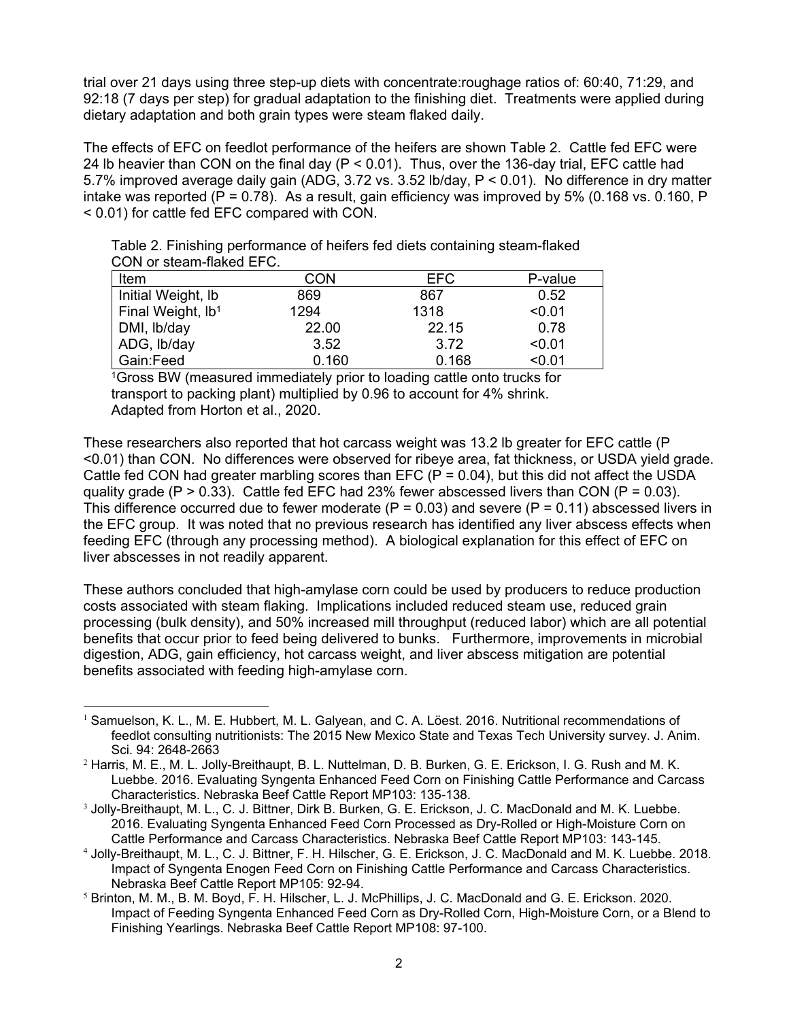trial over 21 days using three step-up diets with concentrate:roughage ratios of: 60:40, 71:29, and 92:18 (7 days per step) for gradual adaptation to the finishing diet. Treatments were applied during dietary adaptation and both grain types were steam flaked daily.

The effects of EFC on feedlot performance of the heifers are shown Table 2. Cattle fed EFC were 24 lb heavier than CON on the final day (P < 0.01). Thus, over the 136-day trial, EFC cattle had 5.7% improved average daily gain (ADG, 3.72 vs. 3.52 lb/day, P < 0.01). No difference in dry matter intake was reported ( $P = 0.78$ ). As a result, gain efficiency was improved by 5% (0.168 vs. 0.160, P < 0.01) for cattle fed EFC compared with CON.

| CON or steam-flaked EFC. |                                                                             |  |  |
|--------------------------|-----------------------------------------------------------------------------|--|--|
|                          | Table 2. Finishing performance of heifers fed diets containing steam-flaked |  |  |
|                          |                                                                             |  |  |

| CON   | <b>EFC</b> | P-value |
|-------|------------|---------|
| 869   | 867        | 0.52    |
| 1294  | 1318       | < 0.01  |
| 22.00 | 22.15      | 0.78    |
| 3.52  | 3.72       | < 0.01  |
| 0.160 | 0.168      | < 0.01  |
|       |            |         |

1Gross BW (measured immediately prior to loading cattle onto trucks for transport to packing plant) multiplied by 0.96 to account for 4% shrink. Adapted from Horton et al., 2020.

These researchers also reported that hot carcass weight was 13.2 lb greater for EFC cattle (P <0.01) than CON. No differences were observed for ribeye area, fat thickness, or USDA yield grade. Cattle fed CON had greater marbling scores than EFC ( $P = 0.04$ ), but this did not affect the USDA quality grade ( $P > 0.33$ ). Cattle fed EFC had 23% fewer abscessed livers than CON ( $P = 0.03$ ). This difference occurred due to fewer moderate  $(P = 0.03)$  and severe  $(P = 0.11)$  abscessed livers in the EFC group. It was noted that no previous research has identified any liver abscess effects when feeding EFC (through any processing method). A biological explanation for this effect of EFC on liver abscesses in not readily apparent.

These authors concluded that high-amylase corn could be used by producers to reduce production costs associated with steam flaking. Implications included reduced steam use, reduced grain processing (bulk density), and 50% increased mill throughput (reduced labor) which are all potential benefits that occur prior to feed being delivered to bunks. Furthermore, improvements in microbial digestion, ADG, gain efficiency, hot carcass weight, and liver abscess mitigation are potential benefits associated with feeding high-amylase corn.

<sup>&</sup>lt;sup>1</sup> Samuelson, K. L., M. E. Hubbert, M. L. Galyean, and C. A. Löest. 2016. Nutritional recommendations of feedlot consulting nutritionists: The 2015 New Mexico State and Texas Tech University survey. J. Anim. Sci. 94: 2648-2663

<sup>&</sup>lt;sup>2</sup> Harris, M. E., M. L. Jolly-Breithaupt, B. L. Nuttelman, D. B. Burken, G. E. Erickson, I. G. Rush and M. K. Luebbe. 2016. Evaluating Syngenta Enhanced Feed Corn on Finishing Cattle Performance and Carcass Characteristics. Nebraska Beef Cattle Report MP103: 135-138.

<sup>3</sup> Jolly-Breithaupt, M. L., C. J. Bittner, Dirk B. Burken, G. E. Erickson, J. C. MacDonald and M. K. Luebbe. 2016. Evaluating Syngenta Enhanced Feed Corn Processed as Dry-Rolled or High-Moisture Corn on Cattle Performance and Carcass Characteristics. Nebraska Beef Cattle Report MP103: 143-145.

<sup>4</sup> Jolly-Breithaupt, M. L., C. J. Bittner, F. H. Hilscher, G. E. Erickson, J. C. MacDonald and M. K. Luebbe. 2018. Impact of Syngenta Enogen Feed Corn on Finishing Cattle Performance and Carcass Characteristics. Nebraska Beef Cattle Report MP105: 92-94.

<sup>5</sup> Brinton, M. M., B. M. Boyd, F. H. Hilscher, L. J. McPhillips, J. C. MacDonald and G. E. Erickson. 2020. Impact of Feeding Syngenta Enhanced Feed Corn as Dry-Rolled Corn, High-Moisture Corn, or a Blend to Finishing Yearlings. Nebraska Beef Cattle Report MP108: 97-100.